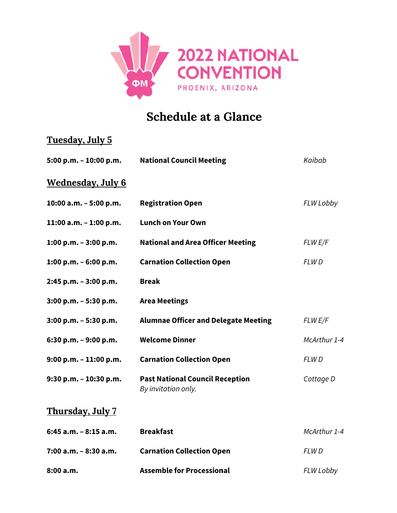

## **Schedule at a Glance**

| <u>Tuesday, July 5</u>    |                                                               |              |
|---------------------------|---------------------------------------------------------------|--------------|
| 5:00 p.m. - 10:00 p.m.    | <b>National Council Meeting</b>                               | Kaibab       |
| <u>Wednesday, July 6</u>  |                                                               |              |
| 10:00 a.m. - 5:00 p.m.    | <b>Registration Open</b>                                      | FLW Lobby    |
| 11:00 a.m. - 1:00 p.m.    | <b>Lunch on Your Own</b>                                      |              |
| 1:00 p.m. $-3:00$ p.m.    | <b>National and Area Officer Meeting</b>                      | FLW E/F      |
| 1:00 p.m. $-6:00$ p.m.    | <b>Carnation Collection Open</b>                              | <b>FLWD</b>  |
| 2:45 p.m. - 3:00 p.m.     | <b>Break</b>                                                  |              |
| $3:00$ p.m. $-5:30$ p.m.  | <b>Area Meetings</b>                                          |              |
| $3:00$ p.m. $-5:30$ p.m.  | <b>Alumnae Officer and Delegate Meeting</b>                   | FLW E/F      |
| 6:30 p.m. $-9:00$ p.m.    | <b>Welcome Dinner</b>                                         | McArthur 1-4 |
| $9:00$ p.m. $-11:00$ p.m. | <b>Carnation Collection Open</b>                              | FLWD         |
| 9:30 p.m. - 10:30 p.m.    | <b>Past National Council Reception</b><br>By invitation only. | Cottage D    |
| Thursday, July 7          |                                                               |              |
| 6:45 a.m. - 8:15 a.m.     | <b>Breakfast</b>                                              | McArthur 1-4 |
| 7:00 a.m. - 8:30 a.m.     | <b>Carnation Collection Open</b>                              | <b>FLWD</b>  |

**Ass semble for Procession nal**

*FLW Lobb by*

**8:00 a.m m.**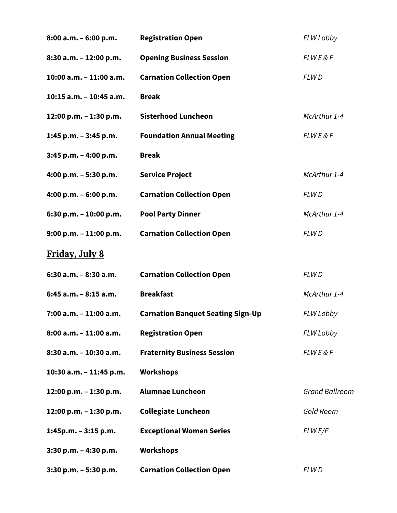| $8:00$ a.m. $-6:00$ p.m.  | <b>Registration Open</b>                 | FLW Lobby             |
|---------------------------|------------------------------------------|-----------------------|
| 8:30 a.m. - 12:00 p.m.    | <b>Opening Business Session</b>          | <b>FLWE&amp;F</b>     |
| 10:00 a.m. - 11:00 a.m.   | <b>Carnation Collection Open</b>         | FLW D                 |
| 10:15 a.m. - 10:45 a.m.   | <b>Break</b>                             |                       |
| 12:00 p.m. - 1:30 p.m.    | <b>Sisterhood Luncheon</b>               | McArthur 1-4          |
| 1:45 p.m. - 3:45 p.m.     | <b>Foundation Annual Meeting</b>         | <b>FLWE&amp;F</b>     |
| $3:45$ p.m. - 4:00 p.m.   | <b>Break</b>                             |                       |
| 4:00 p.m. $-5:30$ p.m.    | <b>Service Project</b>                   | McArthur 1-4          |
| 4:00 p.m. $-6:00$ p.m.    | <b>Carnation Collection Open</b>         | FLW D                 |
| 6:30 p.m. $- 10:00$ p.m.  | <b>Pool Party Dinner</b>                 | McArthur 1-4          |
| $9:00$ p.m. $-11:00$ p.m. | <b>Carnation Collection Open</b>         | FLW D                 |
| <b>Friday, July 8</b>     |                                          |                       |
| 6:30 a.m. - 8:30 a.m.     | <b>Carnation Collection Open</b>         | FLW D                 |
| 6:45 a.m. - 8:15 a.m.     | <b>Breakfast</b>                         | McArthur 1-4          |
| 7:00 a.m. - 11:00 a.m.    | <b>Carnation Banquet Seating Sign-Up</b> | FLW Lobby             |
| 8:00 a.m. - 11:00 a.m.    | <b>Registration Open</b>                 | FLW Lobby             |
| 8:30 a.m. - 10:30 a.m.    | <b>Fraternity Business Session</b>       | <b>FLWE&amp;F</b>     |
| 10:30 a.m. - 11:45 p.m.   | <b>Workshops</b>                         |                       |
| 12:00 p.m. - 1:30 p.m.    | <b>Alumnae Luncheon</b>                  | <b>Grand Ballroom</b> |
| 12:00 p.m. - 1:30 p.m.    | <b>Collegiate Luncheon</b>               | Gold Room             |
| $1:45p.m. - 3:15 p.m.$    | <b>Exceptional Women Series</b>          | FLW E/F               |
| 3:30 p.m. - 4:30 p.m.     | <b>Workshops</b>                         |                       |
| 3:30 p.m. - 5:30 p.m.     | <b>Carnation Collection Open</b>         | FLW D                 |